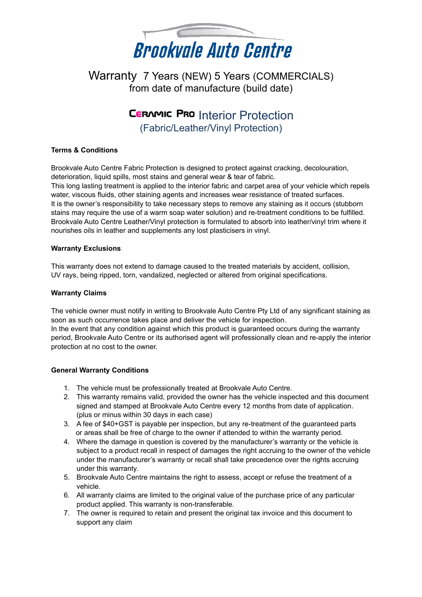

Warranty 7 Years (NEW) 5 Years (COMMERCIALS) from date of manufacture (build date)

# **CERAMIC PRO Interior Protection** (Fabric/Leather/Vinyl Protection)

## **Terms & Conditions**

Brookvale Auto Centre Fabric Protection is designed to protect against cracking, decolouration, deterioration, liquid spills, most stains and general wear & tear of fabric.

This long lasting treatment is applied to the interior fabric and carpet area of your vehicle which repels water, viscous fluids, other staining agents and increases wear resistance of treated surfaces. It is the owner's responsibility to take necessary steps to remove any staining as it occurs (stubborn stains may require the use of a warm soap water solution) and re-treatment conditions to be fulfilled. Brookvale Auto Centre Leather/Vinyl protection is formulated to absorb into leather/vinyl trim where it nourishes oils in leather and supplements any lost plasticisers in vinyl.

## **Warranty Exclusions**

This warranty does not extend to damage caused to the treated materials by accident, collision, UV rays, being ripped, torn, vandalized, neglected or altered from original specifications.

## **Warranty Claims**

The vehicle owner must notify in writing to Brookvale Auto Centre Pty Ltd of any significant staining as soon as such occurrence takes place and deliver the vehicle for inspection. In the event that any condition against which this product is guaranteed occurs during the warranty period, Brookvale Auto Centre or its authorised agent will professionally clean and re-apply the interior protection at no cost to the owner.

## **General Warranty Conditions**

- 1. The vehicle must be professionally treated at Brookvale Auto Centre.
- 2. This warranty remains valid, provided the owner has the vehicle inspected and this document signed and stamped at Brookvale Auto Centre every 12 months from date of application. (plus or minus within 30 days in each case)
- 3. A fee of \$40+GST is payable per inspection, but any re-treatment of the guaranteed parts or areas shall be free of charge to the owner if attended to within the warranty period.
- 4. Where the damage in question is covered by the manufacturer's warranty or the vehicle is subject to a product recall in respect of damages the right accruing to the owner of the vehicle under the manufacturer's warranty or recall shall take precedence over the rights accruing under this warranty.
- 5. Brookvale Auto Centre maintains the right to assess, accept or refuse the treatment of a vehicle.
- 6. All warranty claims are limited to the original value of the purchase price of any particular product applied. This warranty is non-transferable.
- 7. The owner is required to retain and present the original tax invoice and this document to support any claim